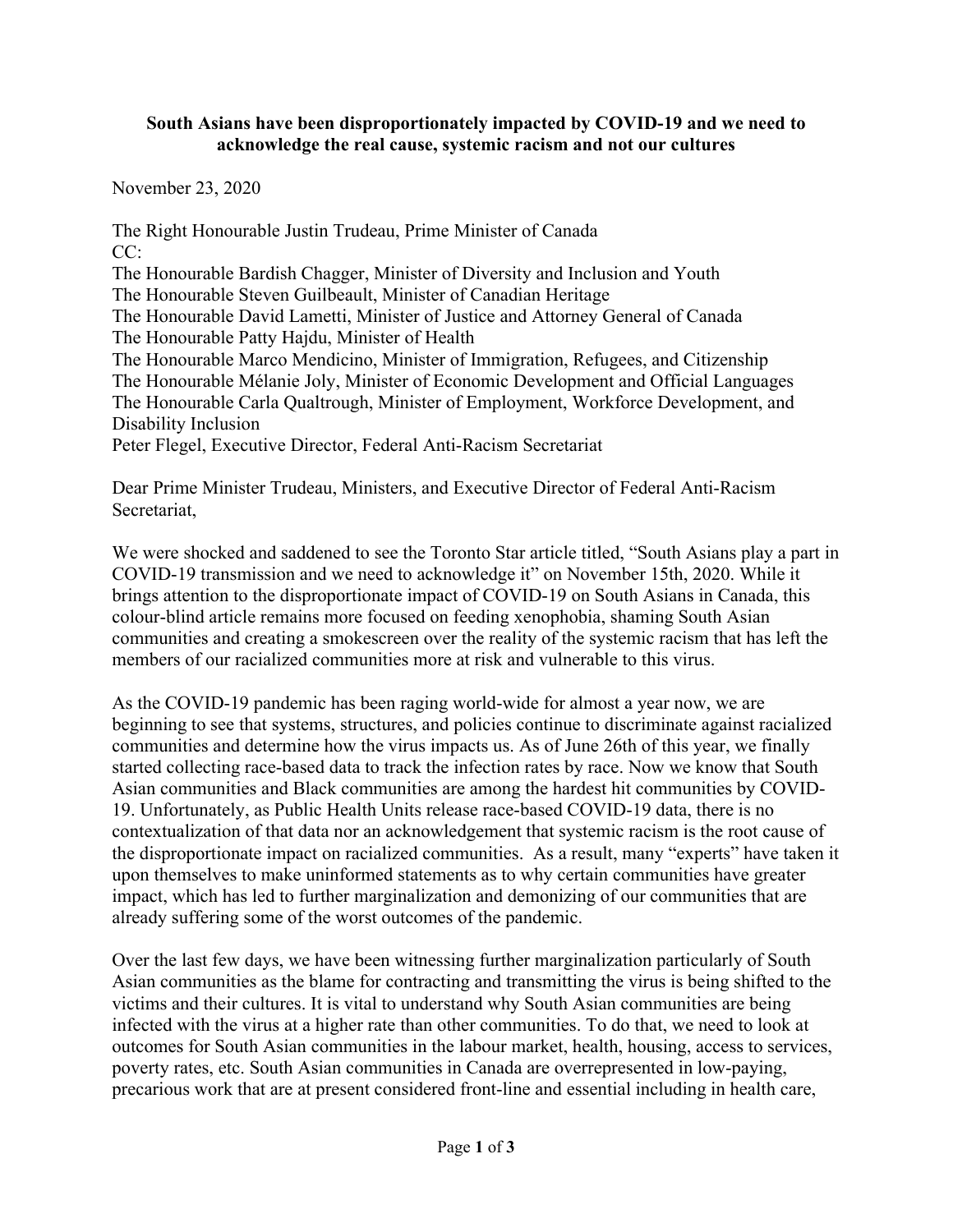## **South Asians have been disproportionately impacted by COVID-19 and we need to acknowledge the real cause, systemic racism and not our cultures**

November 23, 2020

The Right Honourable Justin Trudeau, Prime Minister of Canada CC: The Honourable Bardish Chagger, Minister of Diversity and Inclusion and Youth The Honourable Steven Guilbeault, Minister of Canadian Heritage The Honourable David Lametti, Minister of Justice and Attorney General of Canada The Honourable Patty Hajdu, Minister of Health The Honourable Marco Mendicino, Minister of Immigration, Refugees, and Citizenship The Honourable Mélanie Joly, Minister of Economic Development and Official Languages The Honourable Carla Qualtrough, Minister of Employment, Workforce Development, and Disability Inclusion Peter Flegel, Executive Director, Federal Anti-Racism Secretariat

Dear Prime Minister Trudeau, Ministers, and Executive Director of Federal Anti-Racism Secretariat,

We were shocked and saddened to see the Toronto Star article titled, "South Asians play a part in COVID-19 transmission and we need to acknowledge it" on November 15th, 2020. While it brings attention to the disproportionate impact of COVID-19 on South Asians in Canada, this colour-blind article remains more focused on feeding xenophobia, shaming South Asian communities and creating a smokescreen over the reality of the systemic racism that has left the members of our racialized communities more at risk and vulnerable to this virus.

As the COVID-19 pandemic has been raging world-wide for almost a year now, we are beginning to see that systems, structures, and policies continue to discriminate against racialized communities and determine how the virus impacts us. As of June 26th of this year, we finally started collecting race-based data to track the infection rates by race. Now we know that South Asian communities and Black communities are among the hardest hit communities by COVID-19. Unfortunately, as Public Health Units release race-based COVID-19 data, there is no contextualization of that data nor an acknowledgement that systemic racism is the root cause of the disproportionate impact on racialized communities. As a result, many "experts" have taken it upon themselves to make uninformed statements as to why certain communities have greater impact, which has led to further marginalization and demonizing of our communities that are already suffering some of the worst outcomes of the pandemic.

Over the last few days, we have been witnessing further marginalization particularly of South Asian communities as the blame for contracting and transmitting the virus is being shifted to the victims and their cultures. It is vital to understand why South Asian communities are being infected with the virus at a higher rate than other communities. To do that, we need to look at outcomes for South Asian communities in the labour market, health, housing, access to services, poverty rates, etc. South Asian communities in Canada are overrepresented in low-paying, precarious work that are at present considered front-line and essential including in health care,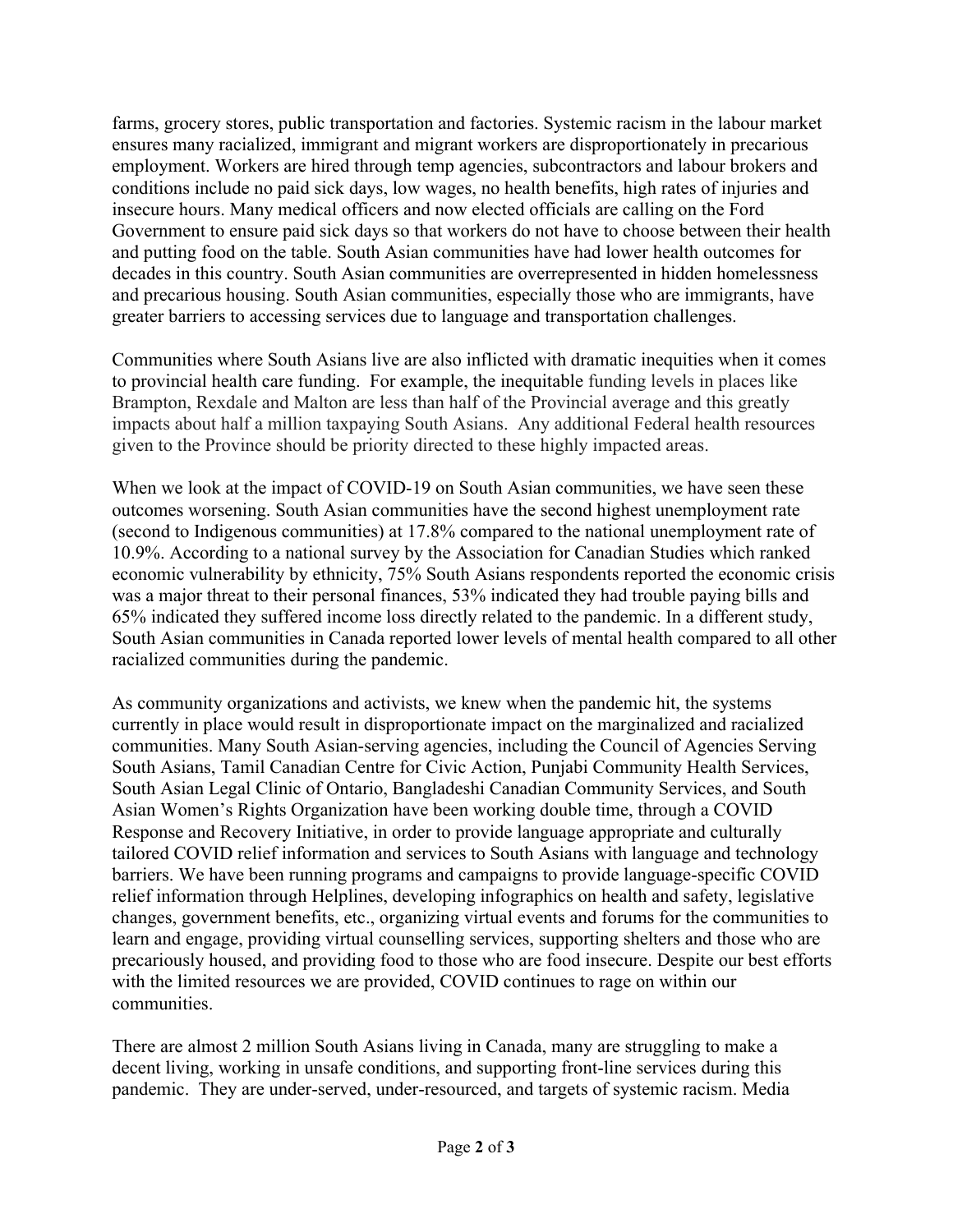farms, grocery stores, public transportation and factories. Systemic racism in the labour market ensures many racialized, immigrant and migrant workers are disproportionately in precarious employment. Workers are hired through temp agencies, subcontractors and labour brokers and conditions include no paid sick days, low wages, no health benefits, high rates of injuries and insecure hours. Many medical officers and now elected officials are calling on the Ford Government to ensure paid sick days so that workers do not have to choose between their health and putting food on the table. South Asian communities have had lower health outcomes for decades in this country. South Asian communities are overrepresented in hidden homelessness and precarious housing. South Asian communities, especially those who are immigrants, have greater barriers to accessing services due to language and transportation challenges.

Communities where South Asians live are also inflicted with dramatic inequities when it comes to provincial health care funding. For example, the inequitable funding levels in places like Brampton, Rexdale and Malton are less than half of the Provincial average and this greatly impacts about half a million taxpaying South Asians. Any additional Federal health resources given to the Province should be priority directed to these highly impacted areas.

When we look at the impact of COVID-19 on South Asian communities, we have seen these outcomes worsening. South Asian communities have the second highest unemployment rate (second to Indigenous communities) at 17.8% compared to the national unemployment rate of 10.9%. According to a national survey by the Association for Canadian Studies which ranked economic vulnerability by ethnicity, 75% South Asians respondents reported the economic crisis was a major threat to their personal finances, 53% indicated they had trouble paying bills and 65% indicated they suffered income loss directly related to the pandemic. In a different study, South Asian communities in Canada reported lower levels of mental health compared to all other racialized communities during the pandemic.

As community organizations and activists, we knew when the pandemic hit, the systems currently in place would result in disproportionate impact on the marginalized and racialized communities. Many South Asian-serving agencies, including the Council of Agencies Serving South Asians, Tamil Canadian Centre for Civic Action, Punjabi Community Health Services, South Asian Legal Clinic of Ontario, Bangladeshi Canadian Community Services, and South Asian Women's Rights Organization have been working double time, through a COVID Response and Recovery Initiative, in order to provide language appropriate and culturally tailored COVID relief information and services to South Asians with language and technology barriers. We have been running programs and campaigns to provide language-specific COVID relief information through Helplines, developing infographics on health and safety, legislative changes, government benefits, etc., organizing virtual events and forums for the communities to learn and engage, providing virtual counselling services, supporting shelters and those who are precariously housed, and providing food to those who are food insecure. Despite our best efforts with the limited resources we are provided, COVID continues to rage on within our communities.

There are almost 2 million South Asians living in Canada, many are struggling to make a decent living, working in unsafe conditions, and supporting front-line services during this pandemic. They are under-served, under-resourced, and targets of systemic racism. Media